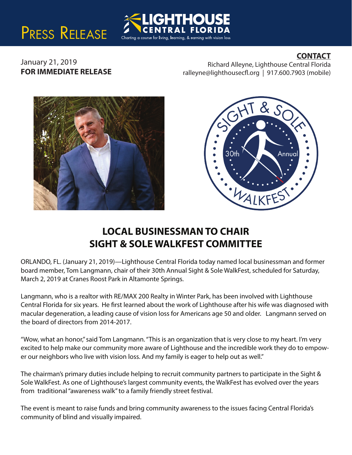## PRESS RELEASE

## **CONTACT**

January 21, 2019 **FOR IMMEDIATE RELEASE**

Richard Alleyne, Lighthouse Central Florida ralleyne@lighthousecfl.org | 917.600.7903 (mobile)





## **LOCAL BUSINESSMAN TO CHAIR SIGHT & SOLE WALKFEST COMMITTEE**

Charting a course for living, learning, & earning with vision loss

ORLANDO, FL. (January 21, 2019)—Lighthouse Central Florida today named local businessman and former board member, Tom Langmann, chair of their 30th Annual Sight & Sole WalkFest, scheduled for Saturday, March 2, 2019 at Cranes Roost Park in Altamonte Springs.

Langmann, who is a realtor with RE/MAX 200 Realty in Winter Park, has been involved with Lighthouse Central Florida for six years. He first learned about the work of Lighthouse after his wife was diagnosed with macular degeneration, a leading cause of vision loss for Americans age 50 and older. Langmann served on the board of directors from 2014-2017.

"Wow, what an honor," said Tom Langmann. "This is an organization that is very close to my heart. I'm very excited to help make our community more aware of Lighthouse and the incredible work they do to empower our neighbors who live with vision loss. And my family is eager to help out as well."

The chairman's primary duties include helping to recruit community partners to participate in the Sight & Sole WalkFest. As one of Lighthouse's largest community events, the WalkFest has evolved over the years from traditional "awareness walk" to a family friendly street festival.

The event is meant to raise funds and bring community awareness to the issues facing Central Florida's community of blind and visually impaired.